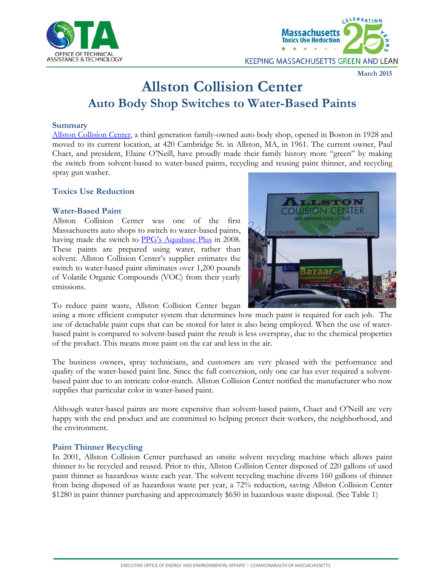



#### **March 2015**

# **Allston Collision Center Auto Body Shop Switches to Water-Based Paints**

#### **Summary**

[Allston Collision Center,](http://www.allstoncollisioncenter.com/Home_Page.html) a third generation family-owned auto body shop, opened in Boston in 1928 and moved to its current location, at 420 Cambridge St. in Allston, MA, in 1961. The current owner, Paul Chaet, and president, Elaine O'Neill, have proudly made their family history more "green" by making the switch from solvent-based to water-based paints, recycling and reusing paint thinner, and recycling spray gun washer.

### **Toxics Use Reduction**

### **Water-Based Paint**

Allston Collision Center was one of the first Massachusetts auto shops to switch to water-based paints, having made the switch to [PPG's Aquabase Plus](http://us.ppgrefinish.com/PPG-Refinish/Products/Automotive-Refinish/Aquabase-Plus) in 2008. These paints are prepared using water, rather than solvent. Allston Collision Center's supplier estimates the switch to water-based paint eliminates over 1,200 pounds of Volatile Organic Compounds (VOC) from their yearly emissions.



To reduce paint waste, Allston Collision Center began

using a more efficient computer system that determines how much paint is required for each job. The use of detachable paint cups that can be stored for later is also being employed. When the use of waterbased paint is compared to solvent-based paint the result is less overspray, due to the chemical properties of the product. This means more paint on the car and less in the air.

The business owners, spray technicians, and customers are very pleased with the performance and quality of the water-based paint line. Since the full conversion, only one car has ever required a solventbased paint due to an intricate color-match. Allston Collision Center notified the manufacturer who now supplies that particular color in water-based paint.

Although water-based paints are more expensive than solvent-based paints, Chaet and O'Neill are very happy with the end product and are committed to helping protect their workers, the neighborhood, and the environment.

#### **Paint Thinner Recycling**

In 2001, Allston Collision Center purchased an onsite solvent recycling machine which allows paint thinner to be recycled and reused. Prior to this, Allston Collision Center disposed of 220 gallons of used paint thinner as hazardous waste each year. The solvent recycling machine diverts 160 gallons of thinner from being disposed of as hazardous waste per year, a 72% reduction, saving Allston Collision Center \$1280 in paint thinner purchasing and approximately \$650 in hazardous waste disposal. (See Table 1)